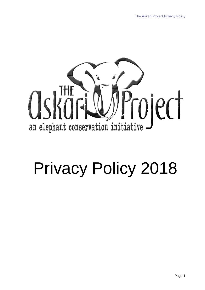

# Privacy Policy 2018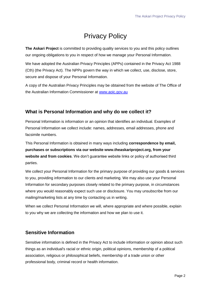# Privacy Policy

**The Askari Project** is committed to providing quality services to you and this policy outlines our ongoing obligations to you in respect of how we manage your Personal Information.

We have adopted the Australian Privacy Principles (APPs) contained in the Privacy Act 1988 (Cth) (the Privacy Act). The NPPs govern the way in which we collect, use, disclose, store, secure and dispose of your Personal Information.

A copy of the Australian Privacy Principles may be obtained from the website of The Office of the Australian Information Commissioner at [www.aoic.gov.au](http://www.aoic.gov.au/)

# **What is Personal Information and why do we collect it?**

Personal Information is information or an opinion that identifies an individual. Examples of Personal Information we collect include: names, addresses, email addresses, phone and facsimile numbers.

This Personal Information is obtained in many ways including **correspondence by email, purchases or subscriptions via our website www.theaskariproject.org, from your website and from cookies**. We don't guarantee website links or policy of authorised third parties.

We collect your Personal Information for the primary purpose of providing our goods & services to you, providing information to our clients and marketing. We may also use your Personal Information for secondary purposes closely related to the primary purpose, in circumstances where you would reasonably expect such use or disclosure. You may unsubscribe from our mailing/marketing lists at any time by contacting us in writing.

When we collect Personal Information we will, where appropriate and where possible, explain to you why we are collecting the information and how we plan to use it.

## **Sensitive Information**

Sensitive information is defined in the Privacy Act to include information or opinion about such things as an individual's racial or ethnic origin, political opinions, membership of a political association, religious or philosophical beliefs, membership of a trade union or other professional body, criminal record or health information.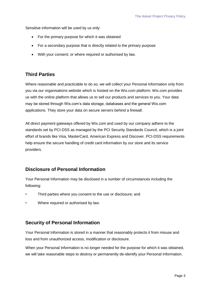Sensitive information will be used by us only:

- For the primary purpose for which it was obtained
- For a secondary purpose that is directly related to the primary purpose
- With your consent; or where required or authorised by law.

# **Third Parties**

Where reasonable and practicable to do so, we will collect your Personal Information only from you via our organisations website which is hosted on the Wix.com platform. Wix.com provides us with the online platform that allows us to sell our products and services to you. Your data may be stored through Wix.com's data storage, databases and the general Wix.com applications. They store your data on secure servers behind a firewall.

All direct payment gateways offered by Wix.com and used by our company adhere to the standards set by PCI-DSS as managed by the PCI Security Standards Council, which is a joint effort of brands like Visa, MasterCard, American Express and Discover. PCI-DSS requirements help ensure the secure handling of credit card information by our store and its service providers.

## **Disclosure of Personal Information**

Your Personal Information may be disclosed in a number of circumstances including the following:

- Third parties where you consent to the use or disclosure; and
- Where required or authorised by law.

#### **Security of Personal Information**

Your Personal Information is stored in a manner that reasonably protects it from misuse and loss and from unauthorized access, modification or disclosure.

When your Personal Information is no longer needed for the purpose for which it was obtained, we will take reasonable steps to destroy or permanently de-identify your Personal Information.